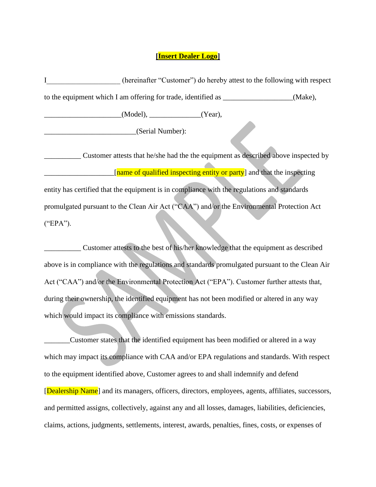## **[Insert Dealer Logo]**

I letter (hereinafter "Customer") do hereby attest to the following with respect to the equipment which I am offering for trade, identified as \_\_\_\_\_\_\_\_\_\_\_\_\_\_\_\_\_(Make),

 $(Model)$ ,  $(Year)$ ,  $(Year)$ ,

\_\_\_\_\_\_\_\_\_\_\_\_\_\_\_\_\_\_\_\_\_\_\_\_\_(Serial Number):

\_\_\_\_\_\_\_\_\_\_ Customer attests that he/she had the the equipment as described above inspected by [name of qualified inspecting entity or party] and that the inspecting entity has certified that the equipment is in compliance with the regulations and standards promulgated pursuant to the Clean Air Act ("CAA") and/or the Environmental Protection Act ("EPA").

\_\_\_\_\_\_\_\_\_\_ Customer attests to the best of his/her knowledge that the equipment as described above is in compliance with the regulations and standards promulgated pursuant to the Clean Air Act ("CAA") and/or the Environmental Protection Act ("EPA"). Customer further attests that, during their ownership, the identified equipment has not been modified or altered in any way which would impact its compliance with emissions standards.

Customer states that the identified equipment has been modified or altered in a way which may impact its compliance with CAA and/or EPA regulations and standards. With respect to the equipment identified above, Customer agrees to and shall indemnify and defend [Dealership Name] and its managers, officers, directors, employees, agents, affiliates, successors, and permitted assigns, collectively, against any and all losses, damages, liabilities, deficiencies, claims, actions, judgments, settlements, interest, awards, penalties, fines, costs, or expenses of